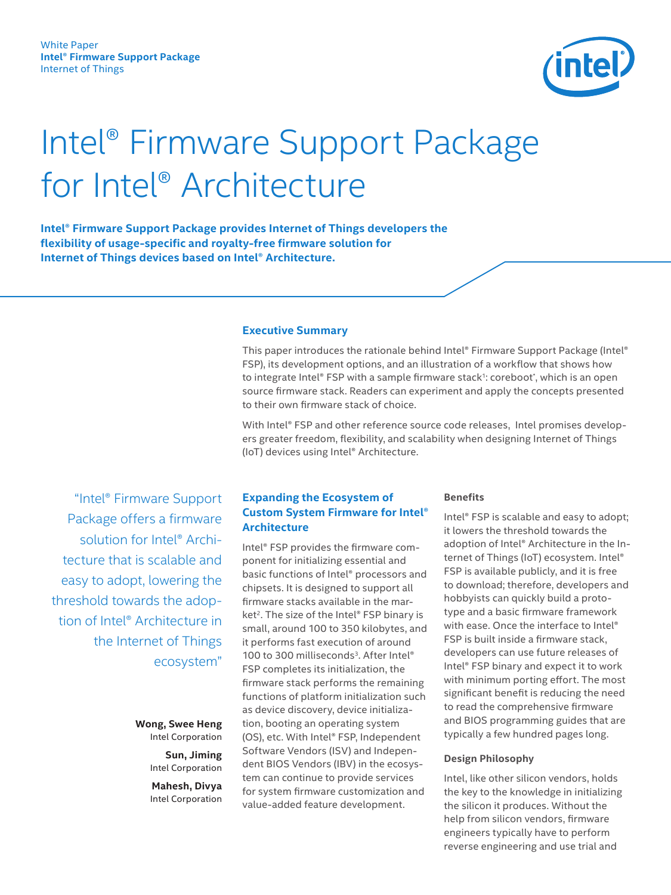

# <span id="page-0-0"></span>Intel® Firmware Support Package for Intel® Architecture

**Intel® Firmware Support Package provides Internet of Things developers the flexibility of usage-specific and royalty-free firmware solution for Internet of Things devices based on Intel® Architecture.** 

#### **Executive Summary**

This paper introduces the rationale behind Intel® Firmware Support Package (Intel® FSP), its development options, and an illustration of a workflow that shows how to integrate Intel® FSP with a sample firmware stack<sup>1</sup>: coreboot\*, which is an open source firmware stack. Readers can experiment and apply the concepts presented to their own firmware stack of choice.

With Intel® FSP and other reference source code releases, Intel promises developers greater freedom, flexibility, and scalability when designing Internet of Things (IoT) devices using Intel® Architecture.

 "Intel® Firmware Support Package offers a firmware solution for Intel® Architecture that is scalable and easy to adopt, lowering the threshold towards the adoption of Intel® Architecture in the Internet of Things ecosystem"

> **Wong, Swee Heng** Intel Corporation

> > **Sun, Jiming** Intel Corporation

> > **Mahesh, Divya** Intel Corporation

## **Expanding the Ecosystem of Custom System Firmware for Intel® Architecture**

Intel® FSP provides the firmware component for initializing essential and basic functions of Intel® processors and chipsets. It is designed to support all firmware stacks available in the mar-ket<sup>[2](#page-5-0)</sup>. The size of the Intel® FSP binary is small, around 100 to 350 kilobytes, and it performs fast execution of around 100 to [3](#page-5-1)00 milliseconds<sup>3</sup>. After Intel® FSP completes its initialization, the firmware stack performs the remaining functions of platform initialization such as device discovery, device initialization, booting an operating system (OS), etc. With Intel® FSP, Independent Software Vendors (ISV) and Independent BIOS Vendors (IBV) in the ecosystem can continue to provide services for system firmware customization and value-added feature development.

#### **Benefits**

Intel® FSP is scalable and easy to adopt; it lowers the threshold towards the adoption of Intel® Architecture in the Internet of Things (IoT) ecosystem. Intel® FSP is available publicly, and it is free to download; therefore, developers and hobbyists can quickly build a prototype and a basic firmware framework with ease. Once the interface to Intel® FSP is built inside a firmware stack, developers can use future releases of Intel® FSP binary and expect it to work with minimum porting effort. The most significant benefit is reducing the need to read the comprehensive firmware and BIOS programming guides that are typically a few hundred pages long.

#### **Design Philosophy**

Intel, like other silicon vendors, holds the key to the knowledge in initializing the silicon it produces. Without the help from silicon vendors, firmware engineers typically have to perform reverse engineering and use trial and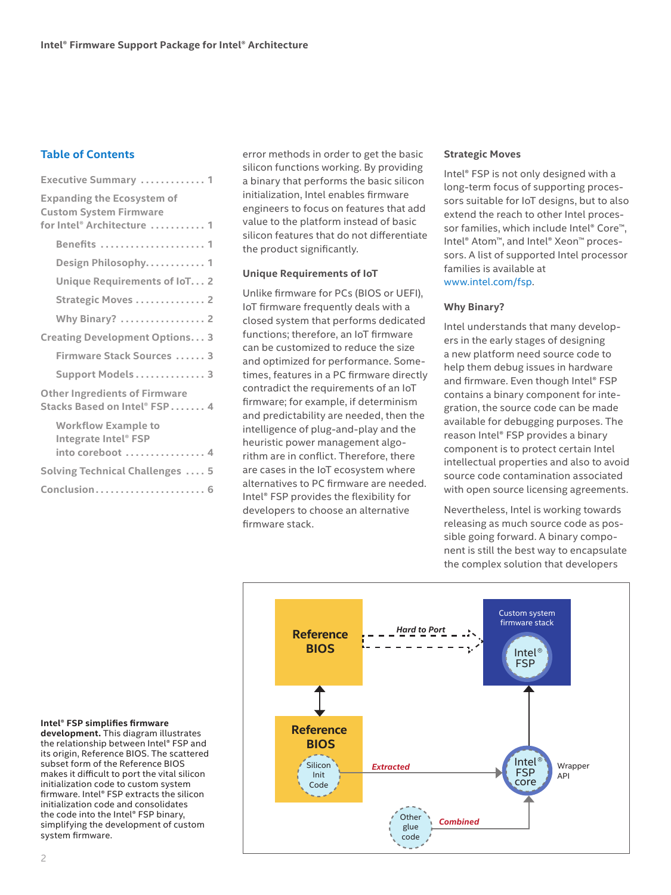## **Table of Contents**

| <b>Executive Summary  1</b>                                                                      |
|--------------------------------------------------------------------------------------------------|
| <b>Expanding the Ecosystem of</b><br><b>Custom System Firmware</b><br>for Intel® Architecture  1 |
| Benefits  1                                                                                      |
| Design Philosophy 1                                                                              |
| Unique Requirements of IoT 2                                                                     |
| Strategic Moves  2                                                                               |
| <b>Why Binary?</b> 2                                                                             |
| <b>Creating Development Options3</b>                                                             |
| Firmware Stack Sources  3                                                                        |
| Support Models 3                                                                                 |
| <b>Other Ingredients of Firmware</b><br>Stacks Based on Intel® FSP 4                             |
| <b>Workflow Example to</b><br>Integrate Intel® FSP<br>into coreboot  4                           |
| <b>Solving Technical Challenges  5</b>                                                           |
| Conclusion 6                                                                                     |

error methods in order to get the basic silicon functions working. By providing a binary that performs the basic silicon initialization, Intel enables firmware engineers to focus on features that add value to the platform instead of basic silicon features that do not differentiate the product significantly.

## **Unique Requirements of IoT**

Unlike firmware for PCs (BIOS or UEFI), IoT firmware frequently deals with a closed system that performs dedicated functions; therefore, an IoT firmware can be customized to reduce the size and optimized for performance. Sometimes, features in a PC firmware directly contradict the requirements of an IoT firmware; for example, if determinism and predictability are needed, then the intelligence of plug-and-play and the heuristic power management algorithm are in conflict. Therefore, there are cases in the IoT ecosystem where alternatives to PC firmware are needed. Intel® FSP provides the flexibility for developers to choose an alternative firmware stack.

#### **Strategic Moves**

Intel® FSP is not only designed with a long-term focus of supporting processors suitable for IoT designs, but to also extend the reach to other Intel processor families, which include Intel® Core™, Intel® Atom™, and Intel® Xeon™ processors. A list of supported Intel processor families is available at [www.intel.com/fsp](http://www.intel.com/fsp).

#### **Why Binary?**

Intel understands that many developers in the early stages of designing a new platform need source code to help them debug issues in hardware and firmware. Even though Intel® FSP contains a binary component for integration, the source code can be made available for debugging purposes. The reason Intel® FSP provides a binary component is to protect certain Intel intellectual properties and also to avoid source code contamination associated with open source licensing agreements.

Nevertheless, Intel is working towards releasing as much source code as possible going forward. A binary component is still the best way to encapsulate the complex solution that developers



#### **Intel® FSP simplifies firmware**

**development.** This diagram illustrates the relationship between Intel® FSP and its origin, Reference BIOS. The scattered subset form of the Reference BIOS makes it difficult to port the vital silicon initialization code to custom system firmware. Intel® FSP extracts the silicon initialization code and consolidates the code into the Intel® FSP binary, simplifying the development of custom system firmware.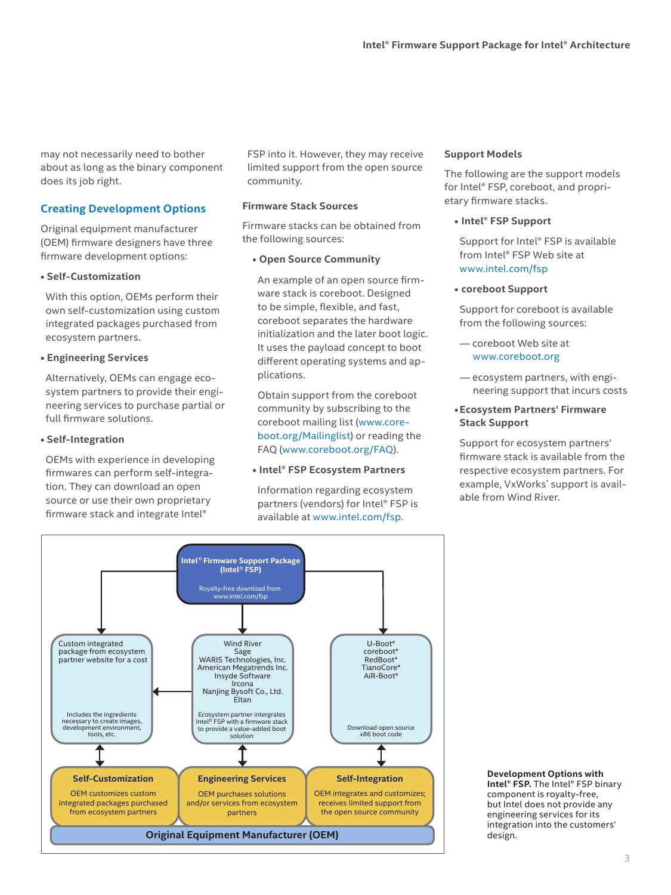<span id="page-2-0"></span>may not necessarily need to bother about as long as the binary component does its job right.

# **Creating Development Options**

Original equipment manufacturer (OEM) firmware designers have three firmware development options:

## **• Self-Customization**

With this option, OEMs perform their own self-customization using custom integrated packages purchased from ecosystem partners.

# **• Engineering Services**

Alternatively, OEMs can engage ecosystem partners to provide their engineering services to purchase partial or full firmware solutions.

## **• Self-Integration**

OEMs with experience in developing firmwares can perform self-integration. They can download an open source or use their own proprietary firmware stack and integrate Intel®

FSP into it. However, they may receive limited support from the open source community.

# **Firmware Stack Sources**

Firmware stacks can be obtained from the following sources:

# **• Open Source Community**

An example of an open source firmware stack is coreboot. Designed to be simple, flexible, and fast, coreboot separates the hardware initialization and the later boot logic. It uses the payload concept to boot different operating systems and applications.

Obtain support from the coreboot community by subscribing to the coreboot mailing list ([www.core](http://www.coreboot.org/Mailinglist)[boot.org/Mailinglist](http://www.coreboot.org/Mailinglist)) or reading the FAQ [\(www.coreboot.org/FAQ](http://www.coreboot.org/FAQ)).

# **• Intel® FSP Ecosystem Partners**

Information regarding ecosystem partners (vendors) for Intel® FSP is available at [www.intel.com/fsp](http://www.intel.com/fsp).

# **Support Models**

The following are the support models for Intel® FSP, coreboot, and proprietary firmware stacks.

**• Intel® FSP Support**

Support for Intel® FSP is available from Intel® FSP Web site at [www.intel.com/fsp](http://www.intel.com/fsp)

# **• coreboot Support**

Support for coreboot is available from the following sources:

- coreboot Web site at [www.coreboot.org](http://www.coreboot.org)
- ecosystem partners, with engineering support that incurs costs

## **•Ecosystem Partners' Firmware Stack Support**

Support for ecosystem partners' firmware stack is available from the respective ecosystem partners. For example, VxWorks\* support is available from Wind River.



**Development Options with Intel® FSP.** The Intel® FSP binary component is royalty-free, but Intel does not provide any engineering services for its integration into the customers' design.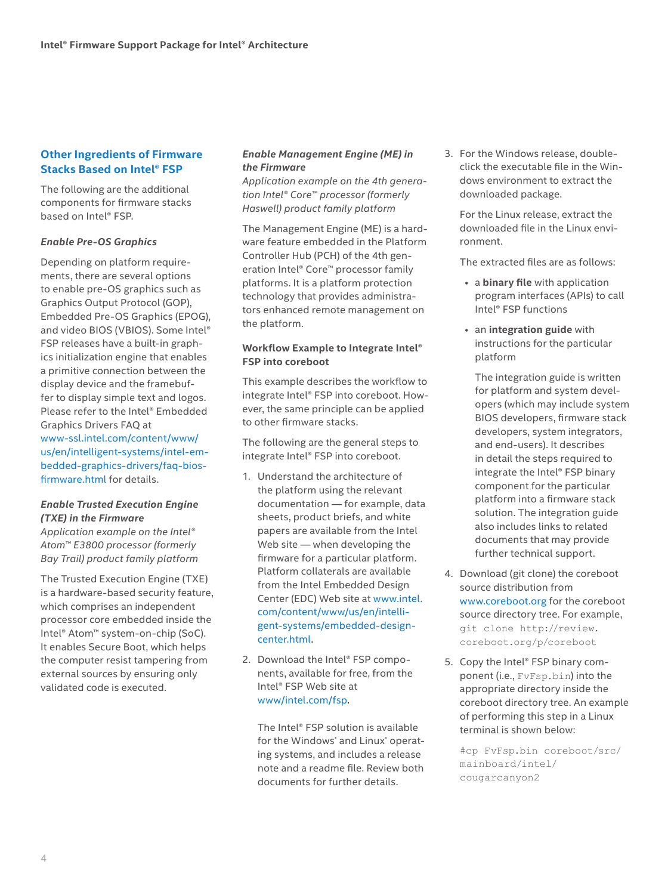# <span id="page-3-0"></span>**Other Ingredients of Firmware Stacks Based on Intel® FSP**

The following are the additional components for firmware stacks based on Intel® FSP.

## *Enable Pre-OS Graphics*

Depending on platform requirements, there are several options to enable pre-OS graphics such as Graphics Output Protocol (GOP), Embedded Pre-OS Graphics (EPOG), and video BIOS (VBIOS). Some Intel® FSP releases have a built-in graphics initialization engine that enables a primitive connection between the display device and the framebuffer to display simple text and logos. Please refer to the Intel® Embedded Graphics Drivers FAQ at [www-ssl.intel.com/content/www/](https://www-ssl.intel.com/content/www/us/en/intelligent-systems/intel-embedded-graphics-drivers/faq-bios-firmware.html) [us/en/intelligent-systems/intel-em](https://www-ssl.intel.com/content/www/us/en/intelligent-systems/intel-embedded-graphics-drivers/faq-bios-firmware.html)[bedded-graphics-drivers/faq-bios](https://www-ssl.intel.com/content/www/us/en/intelligent-systems/intel-embedded-graphics-drivers/faq-bios-firmware.html)[firmware.html](https://www-ssl.intel.com/content/www/us/en/intelligent-systems/intel-embedded-graphics-drivers/faq-bios-firmware.html) for details.

# *Enable Trusted Execution Engine (TXE) in the Firmware*

*Application example on the Intel® Atom™ E3800 processor (formerly Bay Trail) product family platform*

The Trusted Execution Engine (TXE) is a hardware-based security feature, which comprises an independent processor core embedded inside the Intel® Atom™ system-on-chip (SoC). It enables Secure Boot, which helps the computer resist tampering from external sources by ensuring only validated code is executed.

## *Enable Management Engine (ME) in the Firmware*

*Application example on the 4th generation Intel® Core™ processor (formerly Haswell) product family platform*

The Management Engine (ME) is a hardware feature embedded in the Platform Controller Hub (PCH) of the 4th generation Intel® Core™ processor family platforms. It is a platform protection technology that provides administrators enhanced remote management on the platform.

## **Workflow Example to Integrate Intel® FSP into coreboot**

This example describes the workflow to integrate Intel® FSP into coreboot. However, the same principle can be applied to other firmware stacks.

The following are the general steps to integrate Intel® FSP into coreboot.

- 1. Understand the architecture of the platform using the relevant documentation — for example, data sheets, product briefs, and white papers are available from the Intel Web site — when developing the firmware for a particular platform. Platform collaterals are available from the Intel Embedded Design Center (EDC) Web site at [www.intel.](http://www.intel.com/content/www/us/en/intelligent-systems/embedded-design-center.html) [com/content/www/us/en/intelli](http://www.intel.com/content/www/us/en/intelligent-systems/embedded-design-center.html)[gent-systems/embedded-design](http://www.intel.com/content/www/us/en/intelligent-systems/embedded-design-center.html)[center.html](http://www.intel.com/content/www/us/en/intelligent-systems/embedded-design-center.html).
- 2. Download the Intel® FSP components, available for free, from the Intel® FSP Web site at [www/intel.com/fsp.](http://www/intel.com/fsp)

The Intel® FSP solution is available for the Windows\* and Linux\* operating systems, and includes a release note and a readme file. Review both documents for further details.

3. For the Windows release, doubleclick the executable file in the Windows environment to extract the downloaded package.

For the Linux release, extract the downloaded file in the Linux environment.

The extracted files are as follows:

- a **binary file** with application program interfaces (APIs) to call Intel® FSP functions
- an **integration guide** with instructions for the particular platform

The integration guide is written for platform and system developers (which may include system BIOS developers, firmware stack developers, system integrators, and end-users). It describes in detail the steps required to integrate the Intel® FSP binary component for the particular platform into a firmware stack solution. The integration guide also includes links to related documents that may provide further technical support.

- 4. Download (git clone) the coreboot source distribution from [www.coreboot.org](http://www.coreboot.org) for the coreboot source directory tree. For example, git clone http://review. coreboot.org/p/coreboot
- 5. Copy the Intel® FSP binary component (i.e., FvFsp.bin) into the appropriate directory inside the coreboot directory tree. An example of performing this step in a Linux terminal is shown below:

#cp FvFsp.bin coreboot/src/ mainboard/intel/ cougarcanyon2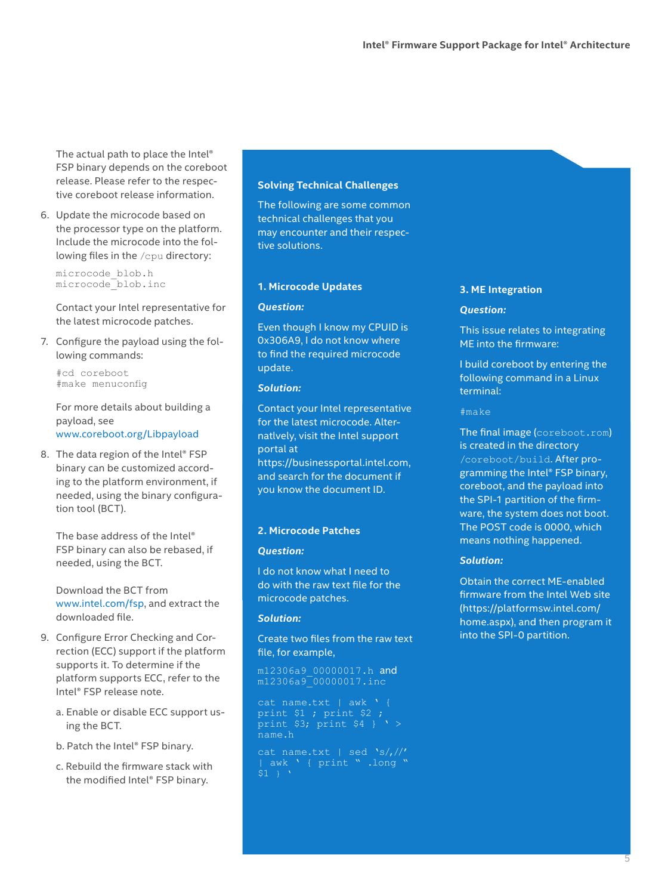<span id="page-4-0"></span>The actual path to place the Intel® FSP binary depends on the coreboot release. Please refer to the respective coreboot release information.

6. Update the microcode based on the processor type on the platform. Include the microcode into the following files in the /cpu directory:

microcode\_blob.h microcode\_blob.inc

Contact your Intel representative for the latest microcode patches.

7. Configure the payload using the following commands:

#cd coreboot #make menuconfig

For more details about building a payload, see [www.coreboot.org/Libpayload](http://www.coreboot.org/Libpayload)

8. The data region of the Intel® FSP binary can be customized according to the platform environment, if needed, using the binary configuration tool (BCT).

The base address of the Intel® FSP binary can also be rebased, if needed, using the BCT.

Download the BCT from [www.intel.com/fsp,](http://www.intel.com/fsp) and extract the downloaded file.

- 9. Configure Error Checking and Correction (ECC) support if the platform supports it. To determine if the platform supports ECC, refer to the Intel® FSP release note.
	- a. Enable or disable ECC support using the BCT.
	- b. Patch the Intel® FSP binary.
	- c. Rebuild the firmware stack with the modified Intel® FSP binary.

#### **Solving Technical Challenges**

The following are some common technical challenges that you may encounter and their respective solutions.

#### **1. Microcode Updates**

#### *Question:*

Even though I know my CPUID is 0x306A9, I do not know where to find the required microcode update.

#### *Solution:*

Contact your Intel representative for the latest microcode. Alternatlvely, visit the Intel support portal at [https://businessportal.intel.com,](https://businessportal.intel.com) and search for the document if you know the document ID.

#### **2. Microcode Patches**

#### *Question:*

I do not know what I need to do with the raw text file for the microcode patches.

#### *Solution:*

Create two files from the raw text file, for example,

m12306a9\_00000017.h and m12306a9\_00000017.inc

print \$1 ; print \$2 ; print \$3; print \$4 } ' > name.h

| awk ' { print " .long "  $$1$  }

#### **3. ME Integration**

#### *Question:*

This issue relates to integrating ME into the firmware:

I build coreboot by entering the following command in a Linux terminal:

#### #make

The final image (coreboot.rom) is created in the directory /coreboot/build. After programming the Intel® FSP binary, coreboot, and the payload into the SPI-1 partition of the firmware, the system does not boot. The POST code is 0000, which means nothing happened.

#### *Solution:*

Obtain the correct ME-enabled firmware from the Intel Web site ([https://platformsw.intel.com/](https://platformsw.intel.com/home.aspx) [home.aspx](https://platformsw.intel.com/home.aspx)), and then program it into the SPI-0 partition.